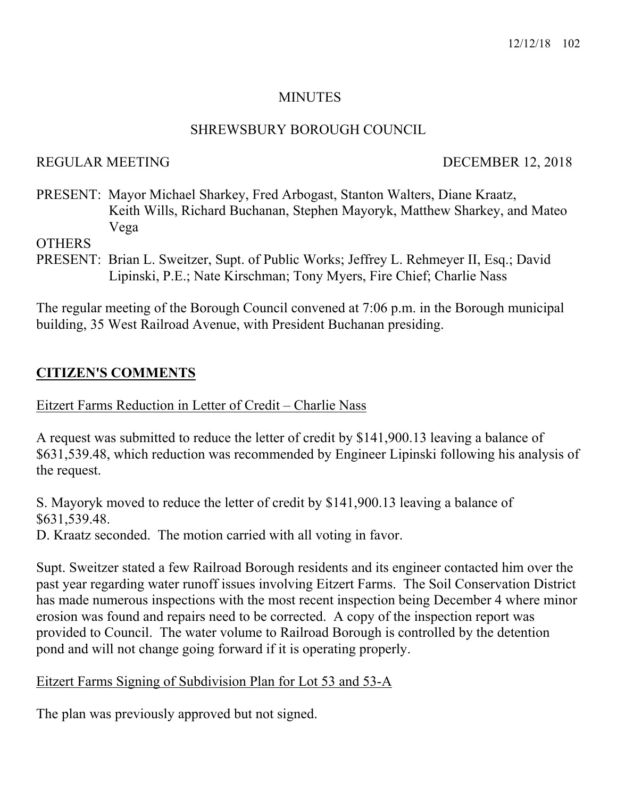#### MINUTES

#### SHREWSBURY BOROUGH COUNCIL

### REGULAR MEETING DECEMBER 12, 2018

PRESENT: Mayor Michael Sharkey, Fred Arbogast, Stanton Walters, Diane Kraatz, Keith Wills, Richard Buchanan, Stephen Mayoryk, Matthew Sharkey, and Mateo Vega

**OTHERS** 

PRESENT: Brian L. Sweitzer, Supt. of Public Works; Jeffrey L. Rehmeyer II, Esq.; David Lipinski, P.E.; Nate Kirschman; Tony Myers, Fire Chief; Charlie Nass

The regular meeting of the Borough Council convened at 7:06 p.m. in the Borough municipal building, 35 West Railroad Avenue, with President Buchanan presiding.

# **CITIZEN'S COMMENTS**

### Eitzert Farms Reduction in Letter of Credit – Charlie Nass

A request was submitted to reduce the letter of credit by \$141,900.13 leaving a balance of \$631,539.48, which reduction was recommended by Engineer Lipinski following his analysis of the request.

S. Mayoryk moved to reduce the letter of credit by \$141,900.13 leaving a balance of \$631,539.48.

D. Kraatz seconded. The motion carried with all voting in favor.

Supt. Sweitzer stated a few Railroad Borough residents and its engineer contacted him over the past year regarding water runoff issues involving Eitzert Farms. The Soil Conservation District has made numerous inspections with the most recent inspection being December 4 where minor erosion was found and repairs need to be corrected. A copy of the inspection report was provided to Council. The water volume to Railroad Borough is controlled by the detention pond and will not change going forward if it is operating properly.

## Eitzert Farms Signing of Subdivision Plan for Lot 53 and 53-A

The plan was previously approved but not signed.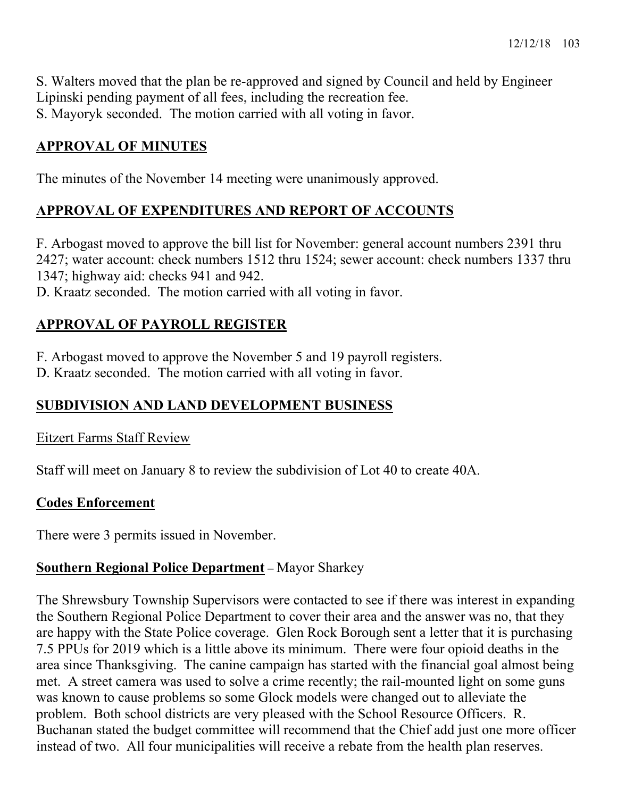S. Walters moved that the plan be re-approved and signed by Council and held by Engineer Lipinski pending payment of all fees, including the recreation fee. S. Mayoryk seconded. The motion carried with all voting in favor.

# **APPROVAL OF MINUTES**

The minutes of the November 14 meeting were unanimously approved.

# **APPROVAL OF EXPENDITURES AND REPORT OF ACCOUNTS**

F. Arbogast moved to approve the bill list for November: general account numbers 2391 thru 2427; water account: check numbers 1512 thru 1524; sewer account: check numbers 1337 thru 1347; highway aid: checks 941 and 942.

D. Kraatz seconded. The motion carried with all voting in favor.

# **APPROVAL OF PAYROLL REGISTER**

F. Arbogast moved to approve the November 5 and 19 payroll registers.

D. Kraatz seconded. The motion carried with all voting in favor.

# **SUBDIVISION AND LAND DEVELOPMENT BUSINESS**

Eitzert Farms Staff Review

Staff will meet on January 8 to review the subdivision of Lot 40 to create 40A.

## **Codes Enforcement**

There were 3 permits issued in November.

# **Southern Regional Police Department –** Mayor Sharkey

The Shrewsbury Township Supervisors were contacted to see if there was interest in expanding the Southern Regional Police Department to cover their area and the answer was no, that they are happy with the State Police coverage. Glen Rock Borough sent a letter that it is purchasing 7.5 PPUs for 2019 which is a little above its minimum. There were four opioid deaths in the area since Thanksgiving. The canine campaign has started with the financial goal almost being met. A street camera was used to solve a crime recently; the rail-mounted light on some guns was known to cause problems so some Glock models were changed out to alleviate the problem. Both school districts are very pleased with the School Resource Officers. R. Buchanan stated the budget committee will recommend that the Chief add just one more officer instead of two. All four municipalities will receive a rebate from the health plan reserves.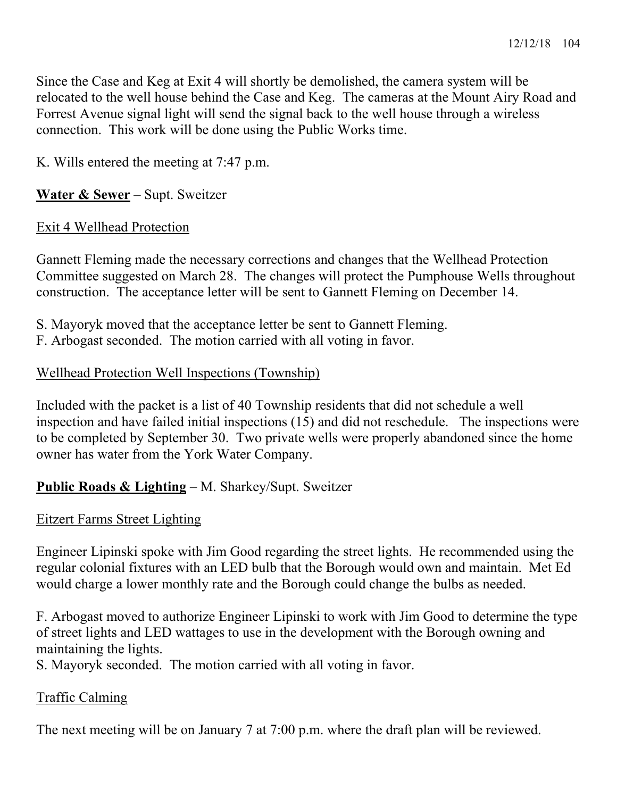Since the Case and Keg at Exit 4 will shortly be demolished, the camera system will be relocated to the well house behind the Case and Keg. The cameras at the Mount Airy Road and Forrest Avenue signal light will send the signal back to the well house through a wireless connection. This work will be done using the Public Works time.

K. Wills entered the meeting at 7:47 p.m.

### **Water & Sewer** – Supt. Sweitzer

#### Exit 4 Wellhead Protection

Gannett Fleming made the necessary corrections and changes that the Wellhead Protection Committee suggested on March 28. The changes will protect the Pumphouse Wells throughout construction. The acceptance letter will be sent to Gannett Fleming on December 14.

- S. Mayoryk moved that the acceptance letter be sent to Gannett Fleming.
- F. Arbogast seconded. The motion carried with all voting in favor.

### Wellhead Protection Well Inspections (Township)

Included with the packet is a list of 40 Township residents that did not schedule a well inspection and have failed initial inspections (15) and did not reschedule. The inspections were to be completed by September 30. Two private wells were properly abandoned since the home owner has water from the York Water Company.

## **Public Roads & Lighting** – M. Sharkey/Supt. Sweitzer

#### Eitzert Farms Street Lighting

Engineer Lipinski spoke with Jim Good regarding the street lights. He recommended using the regular colonial fixtures with an LED bulb that the Borough would own and maintain. Met Ed would charge a lower monthly rate and the Borough could change the bulbs as needed.

F. Arbogast moved to authorize Engineer Lipinski to work with Jim Good to determine the type of street lights and LED wattages to use in the development with the Borough owning and maintaining the lights.

S. Mayoryk seconded. The motion carried with all voting in favor.

## Traffic Calming

The next meeting will be on January 7 at 7:00 p.m. where the draft plan will be reviewed.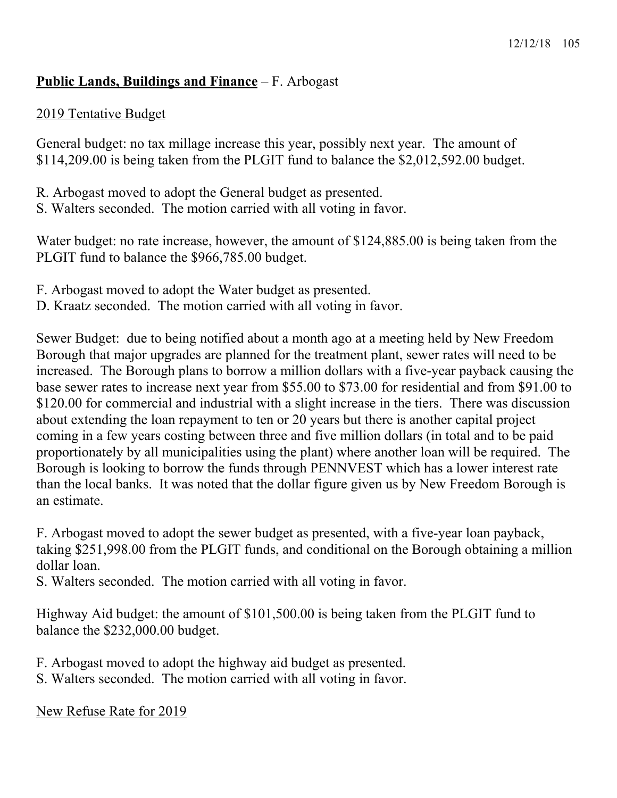### **Public Lands, Buildings and Finance** – F. Arbogast

### 2019 Tentative Budget

General budget: no tax millage increase this year, possibly next year. The amount of \$114,209.00 is being taken from the PLGIT fund to balance the \$2,012,592.00 budget.

- R. Arbogast moved to adopt the General budget as presented.
- S. Walters seconded. The motion carried with all voting in favor.

Water budget: no rate increase, however, the amount of \$124,885.00 is being taken from the PLGIT fund to balance the \$966,785.00 budget.

- F. Arbogast moved to adopt the Water budget as presented.
- D. Kraatz seconded. The motion carried with all voting in favor.

Sewer Budget: due to being notified about a month ago at a meeting held by New Freedom Borough that major upgrades are planned for the treatment plant, sewer rates will need to be increased. The Borough plans to borrow a million dollars with a five-year payback causing the base sewer rates to increase next year from \$55.00 to \$73.00 for residential and from \$91.00 to \$120.00 for commercial and industrial with a slight increase in the tiers. There was discussion about extending the loan repayment to ten or 20 years but there is another capital project coming in a few years costing between three and five million dollars (in total and to be paid proportionately by all municipalities using the plant) where another loan will be required. The Borough is looking to borrow the funds through PENNVEST which has a lower interest rate than the local banks. It was noted that the dollar figure given us by New Freedom Borough is an estimate.

F. Arbogast moved to adopt the sewer budget as presented, with a five-year loan payback, taking \$251,998.00 from the PLGIT funds, and conditional on the Borough obtaining a million dollar loan.

S. Walters seconded. The motion carried with all voting in favor.

Highway Aid budget: the amount of \$101,500.00 is being taken from the PLGIT fund to balance the \$232,000.00 budget.

- F. Arbogast moved to adopt the highway aid budget as presented.
- S. Walters seconded. The motion carried with all voting in favor.

New Refuse Rate for 2019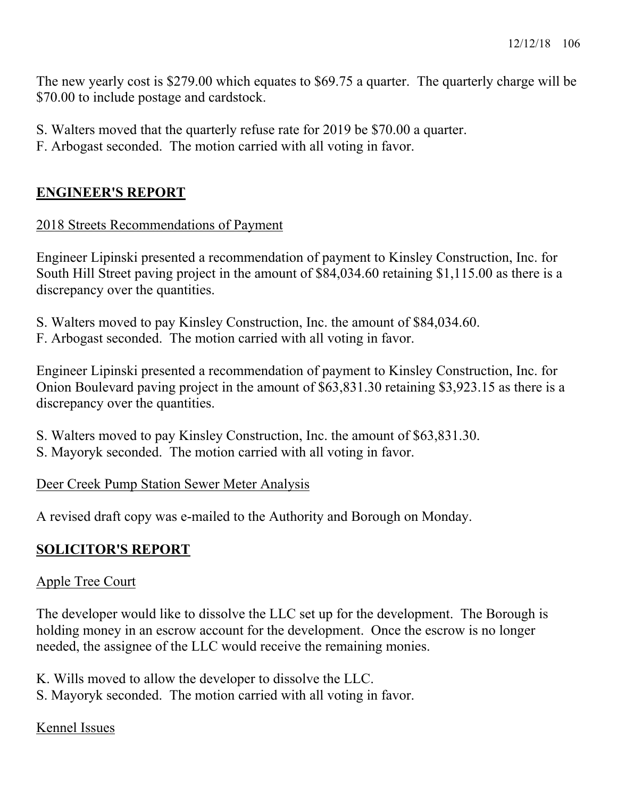The new yearly cost is \$279.00 which equates to \$69.75 a quarter. The quarterly charge will be \$70.00 to include postage and cardstock.

- S. Walters moved that the quarterly refuse rate for 2019 be \$70.00 a quarter.
- F. Arbogast seconded. The motion carried with all voting in favor.

# **ENGINEER'S REPORT**

## 2018 Streets Recommendations of Payment

Engineer Lipinski presented a recommendation of payment to Kinsley Construction, Inc. for South Hill Street paving project in the amount of \$84,034.60 retaining \$1,115.00 as there is a discrepancy over the quantities.

- S. Walters moved to pay Kinsley Construction, Inc. the amount of \$84,034.60.
- F. Arbogast seconded. The motion carried with all voting in favor.

Engineer Lipinski presented a recommendation of payment to Kinsley Construction, Inc. for Onion Boulevard paving project in the amount of \$63,831.30 retaining \$3,923.15 as there is a discrepancy over the quantities.

- S. Walters moved to pay Kinsley Construction, Inc. the amount of \$63,831.30.
- S. Mayoryk seconded. The motion carried with all voting in favor.

## Deer Creek Pump Station Sewer Meter Analysis

A revised draft copy was e-mailed to the Authority and Borough on Monday.

# **SOLICITOR'S REPORT**

## Apple Tree Court

The developer would like to dissolve the LLC set up for the development. The Borough is holding money in an escrow account for the development. Once the escrow is no longer needed, the assignee of the LLC would receive the remaining monies.

K. Wills moved to allow the developer to dissolve the LLC. S. Mayoryk seconded. The motion carried with all voting in favor.

## Kennel Issues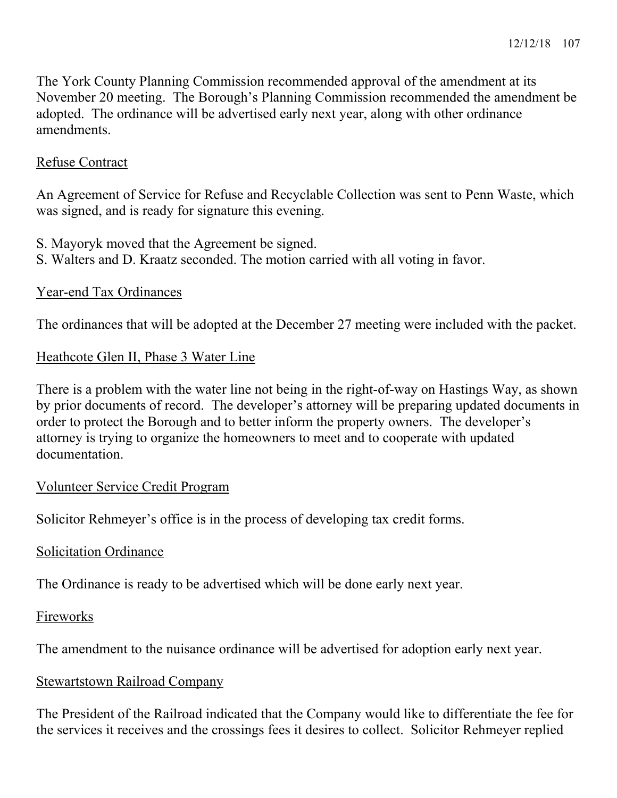The York County Planning Commission recommended approval of the amendment at its November 20 meeting. The Borough's Planning Commission recommended the amendment be adopted. The ordinance will be advertised early next year, along with other ordinance amendments.

### Refuse Contract

An Agreement of Service for Refuse and Recyclable Collection was sent to Penn Waste, which was signed, and is ready for signature this evening.

S. Mayoryk moved that the Agreement be signed.

S. Walters and D. Kraatz seconded. The motion carried with all voting in favor.

### Year-end Tax Ordinances

The ordinances that will be adopted at the December 27 meeting were included with the packet.

### Heathcote Glen II, Phase 3 Water Line

There is a problem with the water line not being in the right-of-way on Hastings Way, as shown by prior documents of record. The developer's attorney will be preparing updated documents in order to protect the Borough and to better inform the property owners. The developer's attorney is trying to organize the homeowners to meet and to cooperate with updated documentation.

#### Volunteer Service Credit Program

Solicitor Rehmeyer's office is in the process of developing tax credit forms.

#### Solicitation Ordinance

The Ordinance is ready to be advertised which will be done early next year.

#### Fireworks

The amendment to the nuisance ordinance will be advertised for adoption early next year.

#### Stewartstown Railroad Company

The President of the Railroad indicated that the Company would like to differentiate the fee for the services it receives and the crossings fees it desires to collect. Solicitor Rehmeyer replied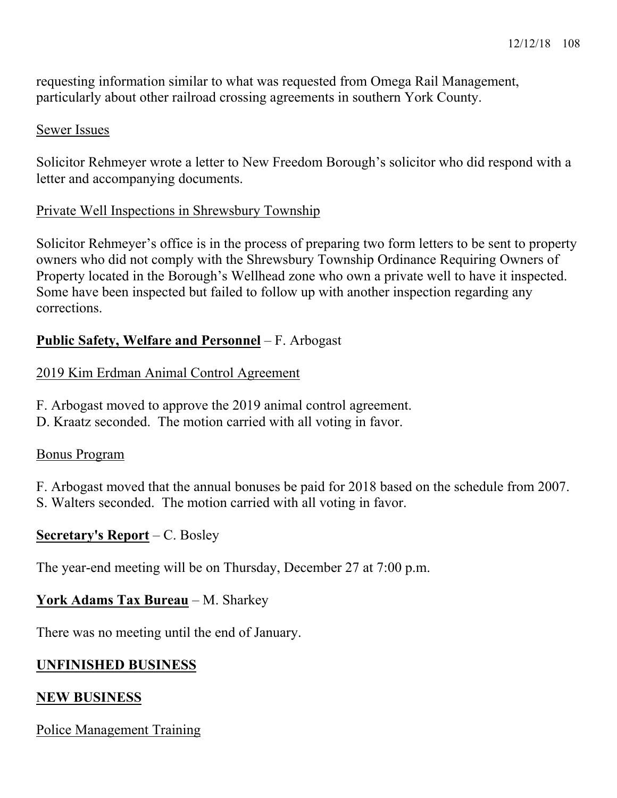requesting information similar to what was requested from Omega Rail Management, particularly about other railroad crossing agreements in southern York County.

#### Sewer Issues

Solicitor Rehmeyer wrote a letter to New Freedom Borough's solicitor who did respond with a letter and accompanying documents.

### Private Well Inspections in Shrewsbury Township

Solicitor Rehmeyer's office is in the process of preparing two form letters to be sent to property owners who did not comply with the Shrewsbury Township Ordinance Requiring Owners of Property located in the Borough's Wellhead zone who own a private well to have it inspected. Some have been inspected but failed to follow up with another inspection regarding any corrections.

### **Public Safety, Welfare and Personnel** – F. Arbogast

### 2019 Kim Erdman Animal Control Agreement

- F. Arbogast moved to approve the 2019 animal control agreement.
- D. Kraatz seconded. The motion carried with all voting in favor.

#### Bonus Program

F. Arbogast moved that the annual bonuses be paid for 2018 based on the schedule from 2007. S. Walters seconded. The motion carried with all voting in favor.

#### **Secretary's Report** – C. Bosley

The year-end meeting will be on Thursday, December 27 at 7:00 p.m.

#### **York Adams Tax Bureau** – M. Sharkey

There was no meeting until the end of January.

## **UNFINISHED BUSINESS**

## **NEW BUSINESS**

## Police Management Training